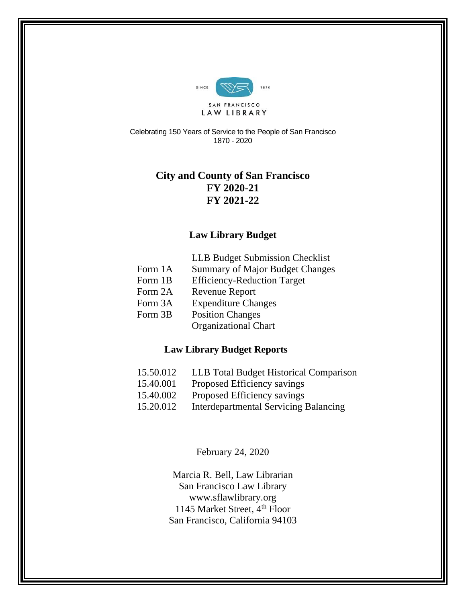

Celebrating 150 Years of Service to the People of San Francisco 1870 - 2020

# **City and County of San Francisco FY 2020-21 FY 2021-22**

### **Law Library Budget**

| <b>LLB Budget Submission Checklist</b> |  |  |
|----------------------------------------|--|--|
|                                        |  |  |

- Form 1A Summary of Major Budget Changes
- Form 1B Efficiency-Reduction Target
- Form 2A Revenue Report
- Form 3A Expenditure Changes
- Form 3B Position Changes Organizational Chart

# **Law Library Budget Reports**

- 15.50.012 LLB Total Budget Historical Comparison
- 15.40.001 Proposed Efficiency savings
- 15.40.002 Proposed Efficiency savings
- 15.20.012 Interdepartmental Servicing Balancing

February 24, 2020

Marcia R. Bell, Law Librarian San Francisco Law Library www.sflawlibrary.org 1145 Market Street, 4<sup>th</sup> Floor San Francisco, California 94103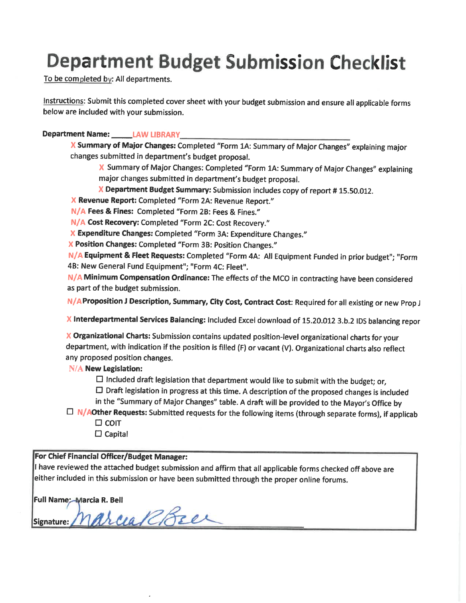# **Department Budget Submission Checklist**

To be completed by: All departments.

Instructions: Submit this completed cover sheet with your budget submission and ensure all applicable forms below are included with your submission.

#### Department Name: LAW LIBRARY

X Summary of Major Changes: Completed "Form 1A: Summary of Major Changes" explaining major changes submitted in department's budget proposal.

X Summary of Major Changes: Completed "Form 1A: Summary of Major Changes" explaining major changes submitted in department's budget proposal.

X Department Budget Summary: Submission includes copy of report #15.50.012.

X Revenue Report: Completed "Form 2A: Revenue Report."

N/A Fees & Fines: Completed "Form 2B: Fees & Fines."

N/A Cost Recovery: Completed "Form 2C: Cost Recovery."

X Expenditure Changes: Completed "Form 3A: Expenditure Changes."

X Position Changes: Completed "Form 3B: Position Changes."

N/A Equipment & Fleet Requests: Completed "Form 4A: All Equipment Funded in prior budget"; "Form 4B: New General Fund Equipment"; "Form 4C: Fleet".

N/A Minimum Compensation Ordinance: The effects of the MCO in contracting have been considered as part of the budget submission.

N/AProposition J Description, Summary, City Cost, Contract Cost: Required for all existing or new Prop J

X Interdepartmental Services Balancing: Included Excel download of 15.20.012 3.b.2 IDS balancing repor

X Organizational Charts: Submission contains updated position-level organizational charts for your department, with indication if the position is filled (F) or vacant (V). Organizational charts also reflect any proposed position changes.

#### **N/A New Legislation:**

 $\Box$  Included draft legislation that department would like to submit with the budget; or,

 $\square$  Draft legislation in progress at this time. A description of the proposed changes is included in the "Summary of Major Changes" table. A draft will be provided to the Mayor's Office by

- $\Box$  N/AOther Requests: Submitted requests for the following items (through separate forms), if applicab
	- $\square$  COIT
	- $\Box$  Capital

#### For Chief Financial Officer/Budget Manager:

I have reviewed the attached budget submission and affirm that all applicable forms checked off above are either included in this submission or have been submitted through the proper online forums.

|  | Full Name: Marcia R. Bell<br>Signature: <i>Marcia RREC</i> |  |  |
|--|------------------------------------------------------------|--|--|
|  |                                                            |  |  |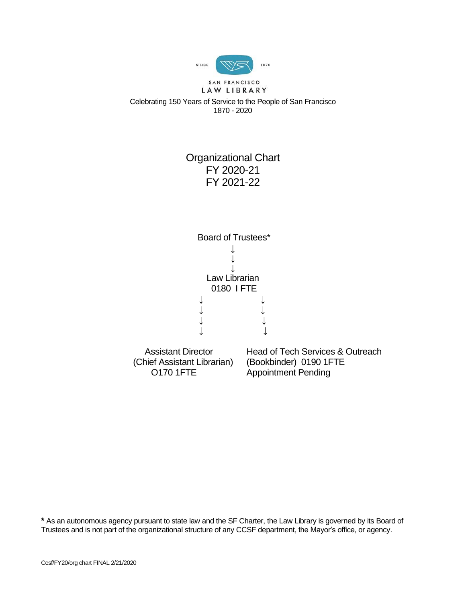

LAW LIBRARY Celebrating 150 Years of Service to the People of San Francisco 1870 - 2020

# Organizational Chart FY 2020-21 FY 2021-22



**\*** As an autonomous agency pursuant to state law and the SF Charter, the Law Library is governed by its Board of Trustees and is not part of the organizational structure of any CCSF department, the Mayor's office, or agency.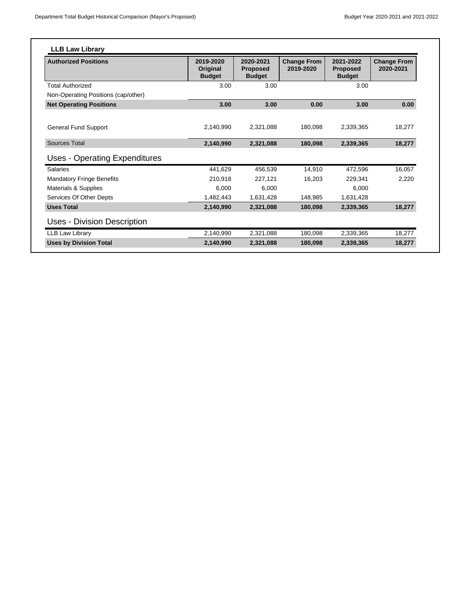| <b>Authorized Positions</b>          | 2019-2020<br>Original<br><b>Budget</b> | 2020-2021<br><b>Proposed</b><br><b>Budget</b> | <b>Change From</b><br>2019-2020 | 2021-2022<br><b>Proposed</b><br><b>Budget</b> | <b>Change From</b><br>2020-2021 |
|--------------------------------------|----------------------------------------|-----------------------------------------------|---------------------------------|-----------------------------------------------|---------------------------------|
| <b>Total Authorized</b>              | 3.00                                   | 3.00                                          |                                 | 3.00                                          |                                 |
| Non-Operating Positions (cap/other)  |                                        |                                               |                                 |                                               |                                 |
| <b>Net Operating Positions</b>       | 3.00                                   | 3.00                                          | 0.00                            | 3.00                                          | 0.00                            |
| <b>General Fund Support</b>          | 2,140,990                              | 2,321,088                                     | 180,098                         | 2,339,365                                     | 18,277                          |
| <b>Sources Total</b>                 | 2,140,990                              | 2,321,088                                     | 180,098                         | 2,339,365                                     | 18,277                          |
| <b>Uses - Operating Expenditures</b> |                                        |                                               |                                 |                                               |                                 |
| <b>Salaries</b>                      | 441,629                                | 456,539                                       | 14,910                          | 472,596                                       | 16,057                          |
| <b>Mandatory Fringe Benefits</b>     | 210,918                                | 227.121                                       | 16.203                          | 229,341                                       | 2,220                           |
| Materials & Supplies                 | 6.000                                  | 6.000                                         |                                 | 6.000                                         |                                 |
| Services Of Other Depts              | 1,482,443                              | 1,631,428                                     | 148,985                         | 1,631,428                                     |                                 |
| <b>Uses Total</b>                    | 2,140,990                              | 2,321,088                                     | 180,098                         | 2,339,365                                     | 18,277                          |
| Uses - Division Description          |                                        |                                               |                                 |                                               |                                 |
| LLB Law Library                      | 2,140,990                              | 2,321,088                                     | 180,098                         | 2,339,365                                     | 18,277                          |
| <b>Uses by Division Total</b>        | 2,140,990                              | 2,321,088                                     | 180,098                         | 2,339,365                                     | 18,277                          |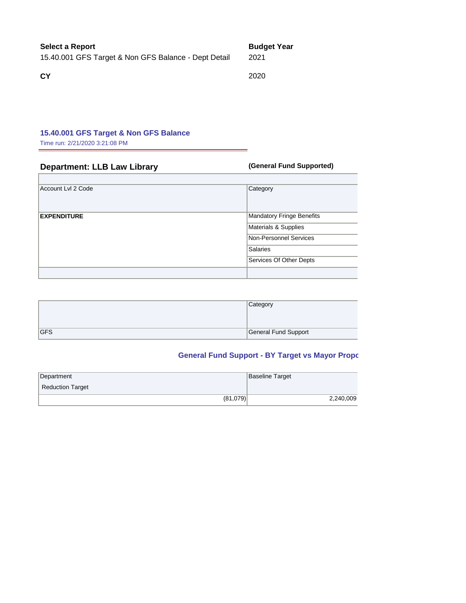#### **Select a Report Budget Year**

15.40.001 GFS Target & Non GFS Balance - Dept Detail 2021

**CY** 2020

#### **15.40.001 GFS Target & Non GFS Balance**

Time run: 2/21/2020 3:21:08 PM

### **Department: LLB Law Library <b>Constructed** (General Fund Supported)

| Account Lvl 2 Code | Category                                                                                                                  |
|--------------------|---------------------------------------------------------------------------------------------------------------------------|
| <b>EXPENDITURE</b> | Mandatory Fringe Benefits<br>Materials & Supplies<br>Non-Personnel Services<br><b>Salaries</b><br>Services Of Other Depts |
|                    |                                                                                                                           |

|            | Category             |
|------------|----------------------|
| <b>GFS</b> | General Fund Support |

# **General Fund Support - BY Target vs Mayor Proportion**

| Department              | Baseline Target |
|-------------------------|-----------------|
| <b>Reduction Target</b> |                 |
| (81,079)                | 2,240,009       |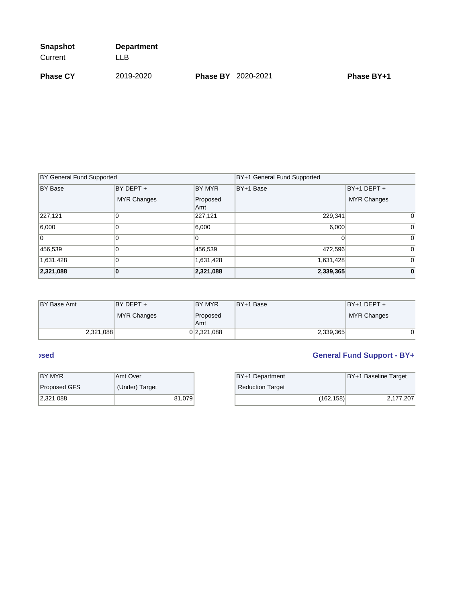| <b>Snapshot</b> | <b>Department</b> |                           |            |
|-----------------|-------------------|---------------------------|------------|
| Current         | LL B              |                           |            |
| <b>Phase CY</b> | 2019-2020         | <b>Phase BY 2020-2021</b> | Phase BY+1 |

| <b>BY General Fund Supported</b> |                    |                 | BY+1 General Fund Supported |                    |
|----------------------------------|--------------------|-----------------|-----------------------------|--------------------|
| BY Base                          | BY DEPT +          | BY MYR          | BY+1 Base                   | BY+1 DEPT +        |
|                                  | <b>MYR Changes</b> | Proposed<br>Amt |                             | <b>MYR Changes</b> |
| 227,121                          | 0                  | 227,121         | 229,341                     | $\Omega$           |
| 6,000                            |                    | 6,000           | 6,000                       | $\Omega$           |
| 10                               |                    |                 |                             | $\Omega$           |
| 456,539                          |                    | 456,539         | 472,596                     | $\Omega$           |
| 1,631,428                        |                    | 1,631,428       | 1,631,428                   | $\Omega$           |
| 2,321,088                        | Ю                  | 2,321,088       | 2,339,365                   | $\mathbf{0}$       |

| <b>BY Base Amt</b> | IBY DEPT +         | <b>IBY MYR</b>  | IBY+1 Base | $BY+1$ DEPT $+$ |
|--------------------|--------------------|-----------------|------------|-----------------|
|                    | <b>MYR Changes</b> | Proposed<br>Amt |            | MYR Changes     |
| 2,321,088          |                    | 0 2,321,088     | 2,339,365  |                 |

| IBY MYR      | Amt Over       | BY+1 Department         |
|--------------|----------------|-------------------------|
| Proposed GFS | (Under) Target | <b>Reduction Target</b> |
| 2,321,088    | 81.079         |                         |

# **CENERAL FUND SECOND SECOND SECOND SECOND SECOND SECOND SUPPORT - BY 1 TARGET VS MAYOR PROPOSED VS MAYOR PROPOSED VS MAYOR PROPOSED AT A TARGET VS MAYOR PROPOSED VS MAYOR PROPOSED VS MAYOR PROPOSED VS MAYOR PROPOSED VS MAY**

| BY MYR       | <b>Amt Over</b> | BY+1 Department         | BY+1 Baseline Target |
|--------------|-----------------|-------------------------|----------------------|
| Proposed GFS | (Under) Target  | <b>Reduction Target</b> |                      |
| 2,321,088    | 81,079          | (162,158)               | 2,177,207            |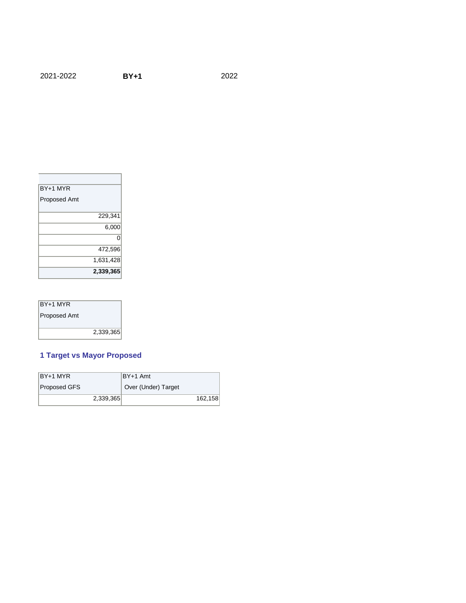#### 2021-2022 **BY+1** 2022

| <b>BY+1 MYR</b> |           |
|-----------------|-----------|
| Proposed Amt    |           |
|                 | 229,341   |
|                 | 6,000     |
|                 | ი         |
|                 | 472,596   |
|                 | 1,631,428 |
|                 | 2,339,365 |

| BY+1 MYR            |           |
|---------------------|-----------|
| <b>Proposed Amt</b> |           |
|                     |           |
|                     | 2,339,365 |

### **1 Target vs Mayor Proposed**

| BY+1 MYR     | IBY+1 Amt           |         |
|--------------|---------------------|---------|
| Proposed GFS | Over (Under) Target |         |
| 2,339,365    |                     | 162,158 |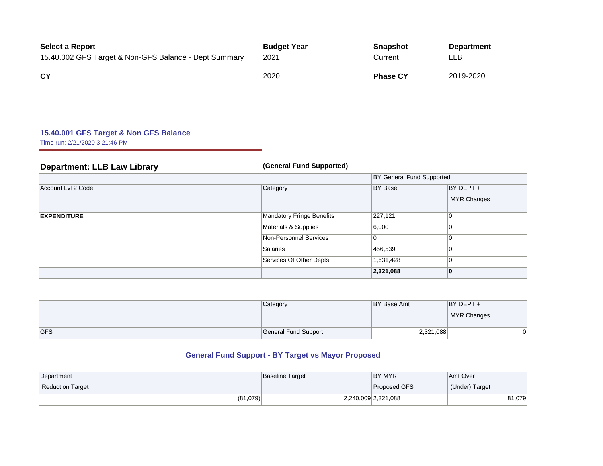| <b>Select a Report</b>                                | <b>Budget Year</b> | <b>Snapshot</b> | <b>Department</b> |
|-------------------------------------------------------|--------------------|-----------------|-------------------|
| 15.40.002 GFS Target & Non-GFS Balance - Dept Summary | 2021               | Current         | LLB.              |
| <b>CY</b>                                             | 2020               | <b>Phase CY</b> | 2019-2020         |

### **15.40.001 GFS Target & Non GFS Balance**

Time run: 2/21/2020 3:21:46 PM

| <b>Department: LLB Law Library</b> | (General Fund Supported)  |                                  |                                 |
|------------------------------------|---------------------------|----------------------------------|---------------------------------|
|                                    |                           | <b>BY General Fund Supported</b> |                                 |
| Account Lvl 2 Code                 | Category                  | BY Base                          | BY DEPT +<br><b>MYR Changes</b> |
| <b>EXPENDITURE</b>                 | Mandatory Fringe Benefits | 227,121                          |                                 |
|                                    | Materials & Supplies      | 6,000                            |                                 |
|                                    | Non-Personnel Services    |                                  |                                 |
|                                    | Salaries                  | 456,539                          | IU.                             |
|                                    | Services Of Other Depts   | 1,631,428                        |                                 |
|                                    |                           | 2,321,088                        | 10                              |

|            | Category             | BY Base Amt | $BY$ DEPT + |
|------------|----------------------|-------------|-------------|
|            |                      |             | MYR Changes |
| <b>GFS</b> | General Fund Support | 2,321,088   |             |

# **General Fund Support - BY Target vs Mayor Proposed**

| Department              | <b>Baseline Target</b> | BY MYR              | Amt Over       |
|-------------------------|------------------------|---------------------|----------------|
| <b>Reduction Target</b> |                        | Proposed GFS        | (Under) Target |
| (81,079)                |                        | 2,240,009 2,321,088 | 81,079         |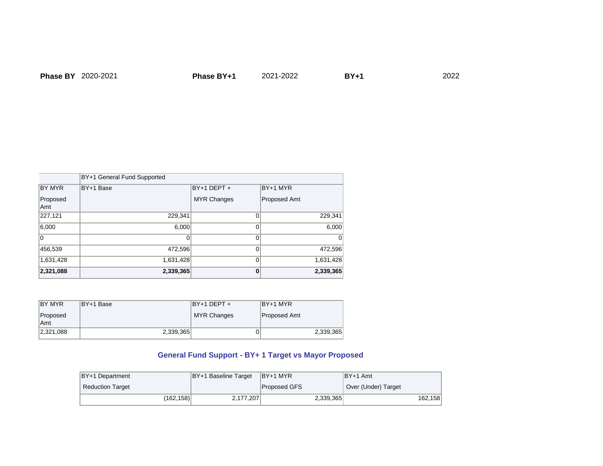|                 | BY+1 General Fund Supported |                    |              |
|-----------------|-----------------------------|--------------------|--------------|
| BY MYR          | BY+1 Base                   | BY+1 DEPT +        | $BY+1$ MYR   |
| Proposed<br>Amt |                             | <b>MYR Changes</b> | Proposed Amt |
| 227,121         | 229,341                     |                    | 229,341      |
| 6,000           | 6,000                       |                    | 6,000        |
|                 |                             | Οl                 | 01           |
| 456,539         | 472,596                     | 01                 | 472,596      |
| 1,631,428       | 1,631,428                   | ∩∣                 | 1,631,428    |
| 2,321,088       | 2,339,365                   | 0                  | 2,339,365    |

| IBY MYR   | BY+1 Base | $BY+1$ DEPT + | BY+1 MYR     |
|-----------|-----------|---------------|--------------|
| Proposed  |           | MYR Changes   | Proposed Amt |
| Amt       |           |               |              |
| 2,321,088 | 2,339,365 | οL            | 2,339,365    |

## **General Fund Support - BY+ 1 Target vs Mayor Proposed**

| BY+1 Department         | BY+1 Baseline Target | IBY+1 MYR           | IBY+1 Amt           |
|-------------------------|----------------------|---------------------|---------------------|
| <b>Reduction Target</b> |                      | <b>Proposed GFS</b> | Over (Under) Target |
| (162, 158)              | 2,177,207            | 2,339,365           | 162,158             |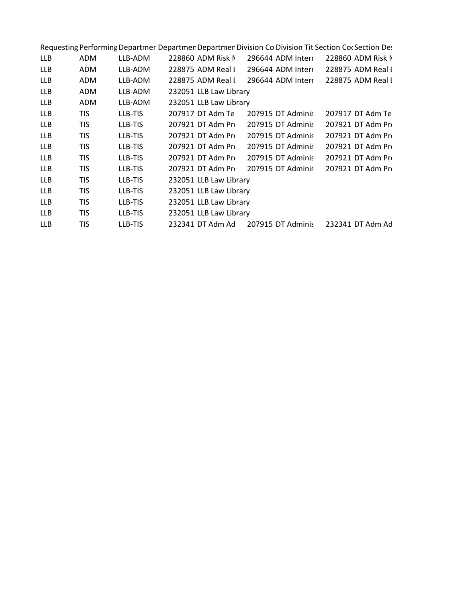| ADM        | LLB-ADM |  |                                                                                                                                                                                         | 228860 ADM Risk N                                                                                                                                                                                                                                                                                                                                                                                                                                                                                                     |
|------------|---------|--|-----------------------------------------------------------------------------------------------------------------------------------------------------------------------------------------|-----------------------------------------------------------------------------------------------------------------------------------------------------------------------------------------------------------------------------------------------------------------------------------------------------------------------------------------------------------------------------------------------------------------------------------------------------------------------------------------------------------------------|
| ADM        | LLB-ADM |  |                                                                                                                                                                                         | 228875 ADM Real I                                                                                                                                                                                                                                                                                                                                                                                                                                                                                                     |
| ADM        | LLB-ADM |  |                                                                                                                                                                                         |                                                                                                                                                                                                                                                                                                                                                                                                                                                                                                                       |
| ADM        | LLB-ADM |  |                                                                                                                                                                                         |                                                                                                                                                                                                                                                                                                                                                                                                                                                                                                                       |
| ADM        | LLB-ADM |  |                                                                                                                                                                                         |                                                                                                                                                                                                                                                                                                                                                                                                                                                                                                                       |
| TIS.       | LLB-TIS |  |                                                                                                                                                                                         | 207917 DT Adm Te                                                                                                                                                                                                                                                                                                                                                                                                                                                                                                      |
| <b>TIS</b> | LLB-TIS |  |                                                                                                                                                                                         | 207921 DT Adm Pro                                                                                                                                                                                                                                                                                                                                                                                                                                                                                                     |
| <b>TIS</b> | LLB-TIS |  |                                                                                                                                                                                         | 207921 DT Adm Pro                                                                                                                                                                                                                                                                                                                                                                                                                                                                                                     |
| TIS        | LLB-TIS |  |                                                                                                                                                                                         | 207921 DT Adm Pro                                                                                                                                                                                                                                                                                                                                                                                                                                                                                                     |
| TIS        | LLB-TIS |  |                                                                                                                                                                                         | 207921 DT Adm Pro                                                                                                                                                                                                                                                                                                                                                                                                                                                                                                     |
| TIS        | LLB-TIS |  |                                                                                                                                                                                         | 207921 DT Adm Pro                                                                                                                                                                                                                                                                                                                                                                                                                                                                                                     |
| <b>TIS</b> | LLB-TIS |  |                                                                                                                                                                                         |                                                                                                                                                                                                                                                                                                                                                                                                                                                                                                                       |
| <b>TIS</b> | LLB-TIS |  |                                                                                                                                                                                         |                                                                                                                                                                                                                                                                                                                                                                                                                                                                                                                       |
| <b>TIS</b> | LLB-TIS |  |                                                                                                                                                                                         |                                                                                                                                                                                                                                                                                                                                                                                                                                                                                                                       |
| TIS        | LLB-TIS |  |                                                                                                                                                                                         |                                                                                                                                                                                                                                                                                                                                                                                                                                                                                                                       |
| <b>TIS</b> | LLB-TIS |  |                                                                                                                                                                                         | 232341 DT Adm Ad                                                                                                                                                                                                                                                                                                                                                                                                                                                                                                      |
|            |         |  | 228860 ADM Risk N<br>228875 ADM Real I<br>207917 DT Adm Te<br>207921 DT Adm Pro<br>207921 DT Adm Pro<br>207921 DT Adm Pri<br>207921 DT Adm Pri<br>207921 DT Adm Pri<br>232341 DT Adm Ad | Requesting Performing Departmen Departmer Departmen Division Co Division Tit Section Co(Section Det<br>296644 ADM Interr<br>296644 ADM Interr<br>228875 ADM Real I 296644 ADM Interr 228875 ADM Real I<br>232051 LLB Law Library<br>232051 LLB Law Library<br>207915 DT Adminis<br>207915 DT Adminis<br>207915 DT Adminis<br>207915 DT Adminis<br>207915 DT Adminis<br>207915 DT Adminis<br>232051 LLB Law Library<br>232051 LLB Law Library<br>232051 LLB Law Library<br>232051 LLB Law Library<br>207915 DT Adminis |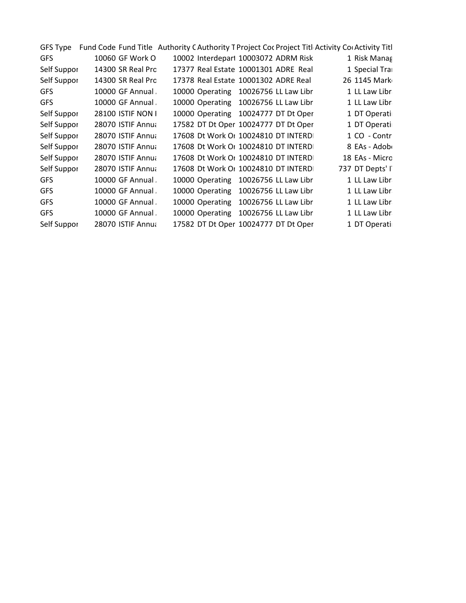|             |                   | GFS Type Fund Code Fund Title Authority C Authority T Project Coc Project Titl Activity Cor Activity Titl |  |                  |  |
|-------------|-------------------|-----------------------------------------------------------------------------------------------------------|--|------------------|--|
| GFS         | 10060 GF Work O   | 10002 Interdepart 10003072 ADRM Risk                                                                      |  | 1 Risk Manag     |  |
| Self Suppor | 14300 SR Real Pro | 17377 Real Estate 10001301 ADRE Real                                                                      |  | 1 Special Tra    |  |
| Self Suppor | 14300 SR Real Pro | 17378 Real Estate 10001302 ADRE Real                                                                      |  | 26 1145 Mark     |  |
| GFS         | 10000 GF Annual   | 10000 Operating 10026756 LL Law Libr                                                                      |  | 1 LL Law Libr    |  |
| <b>GFS</b>  | 10000 GF Annual   | 10000 Operating 10026756 LL Law Libr                                                                      |  | 1 LL Law Libr    |  |
| Self Suppor | 28100 ISTIF NON I | 10000 Operating 10024777 DT Dt Oper                                                                       |  | 1 DT Operati     |  |
| Self Suppor | 28070 ISTIF Annua | 17582 DT Dt Oper 10024777 DT Dt Oper                                                                      |  | 1 DT Operati     |  |
| Self Suppor | 28070 ISTIF Annua | 17608 Dt Work Or 10024810 DT INTERD                                                                       |  | 1 CO - Contr     |  |
| Self Suppor | 28070 ISTIF Annua | 17608 Dt Work Or 10024810 DT INTERDI                                                                      |  | 8 EAs - Adob     |  |
| Self Suppor | 28070 ISTIF Annua | 17608 Dt Work Or 10024810 DT INTERD                                                                       |  | 18 EAs - Micro   |  |
| Self Suppor | 28070 ISTIF Annua | 17608 Dt Work Or 10024810 DT INTERDI                                                                      |  | 737 DT Depts' l' |  |
| GFS         | 10000 GF Annual   | 10000 Operating 10026756 LL Law Libr                                                                      |  | 1 LL Law Libr    |  |
| GFS         | 10000 GF Annual   | 10000 Operating 10026756 LL Law Libr                                                                      |  | 1 LL Law Libr    |  |
| GFS         | 10000 GF Annual   | 10000 Operating 10026756 LL Law Libr                                                                      |  | 1 LL Law Libr    |  |
| <b>GFS</b>  | 10000 GF Annual   | 10000 Operating 10026756 LL Law Libr                                                                      |  | 1 LL Law Libr    |  |
| Self Suppor | 28070 ISTIF Annua | 17582 DT Dt Oper 10024777 DT Dt Oper                                                                      |  | 1 DT Operati     |  |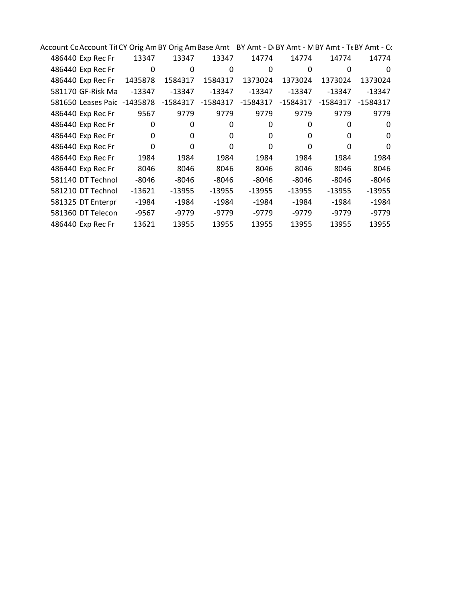| Account Cc Account Tit CY Orig Am BY Orig Am Base Amt BY Amt - D(BY Amt - M BY Amt - T( BY Amt - C( |             |          |          |          |          |                   |          |
|-----------------------------------------------------------------------------------------------------|-------------|----------|----------|----------|----------|-------------------|----------|
| 486440 Exp Rec Fr                                                                                   | 13347       | 13347    | 13347    | 14774    | 14774    | 14774             | 14774    |
| 486440 Exp Rec Fr                                                                                   | 0           | 0        | 0        | 0        | 0        | 0                 | 0        |
| 486440 Exp Rec Fr                                                                                   | 1435878     | 1584317  | 1584317  | 1373024  | 1373024  | 1373024           | 1373024  |
| 581170 GF-Risk Ma                                                                                   | -13347      | $-13347$ | $-13347$ | $-13347$ | $-13347$ | $-13347$          | $-13347$ |
| 581650 Leases Paic -1435878 -1584317 -1584317                                                       |             |          |          | -1584317 | -1584317 | -1584317 -1584317 |          |
| 486440 Exp Rec Fr                                                                                   | 9567        | 9779     | 9779     | 9779     | 9779     | 9779              | 9779     |
| 486440 Exp Rec Fr                                                                                   | 0           | 0        | 0        | 0        | 0        | 0                 | 0        |
| 486440 Exp Rec Fr                                                                                   | $\mathbf 0$ | 0        | 0        | 0        | 0        | $\Omega$          | 0        |
| 486440 Exp Rec Fr                                                                                   | 0           | 0        | 0        | 0        | 0        | 0                 | 0        |
| 486440 Exp Rec Fr                                                                                   | 1984        | 1984     | 1984     | 1984     | 1984     | 1984              | 1984     |
| 486440 Exp Rec Fr                                                                                   | 8046        | 8046     | 8046     | 8046     | 8046     | 8046              | 8046     |
| 581140 DT Technol                                                                                   | -8046       | -8046    | -8046    | -8046    | -8046    | -8046             | -8046    |
| 581210 DT Technol                                                                                   | -13621      | -13955   | -13955   | -13955   | -13955   | -13955            | $-13955$ |
| 581325 DT Enterpri                                                                                  | -1984       | $-1984$  | -1984    | -1984    | $-1984$  | $-1984$           | -1984    |
| 581360 DT Telecon                                                                                   | -9567       | -9779    | -9779    | -9779    | -9779    | -9779             | -9779    |
| 486440 Exp Rec Fr                                                                                   | 13621       | 13955    | 13955    | 13955    | 13955    | 13955             | 13955    |